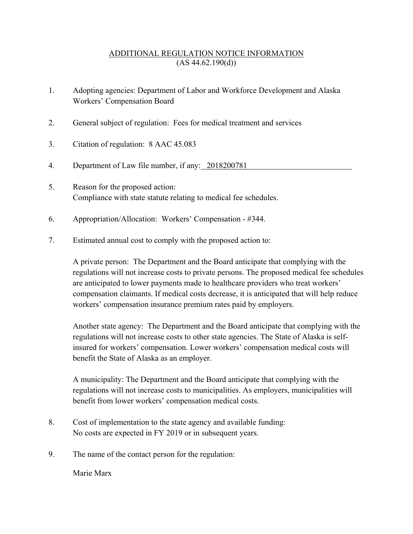## ADDITIONAL REGULATION NOTICE INFORMATION  $(AS 44.62.190(d))$

- 1. Adopting agencies: Department of Labor and Workforce Development and Alaska Workers' Compensation Board
- 2. General subject of regulation: Fees for medical treatment and services
- 3. Citation of regulation: 8 AAC 45.083
- 4. Department of Law file number, if any: 2018200781
- 5. Reason for the proposed action: Compliance with state statute relating to medical fee schedules.
- 6. Appropriation/Allocation: Workers' Compensation #344.
- 7. Estimated annual cost to comply with the proposed action to:

A private person: The Department and the Board anticipate that complying with the regulations will not increase costs to private persons. The proposed medical fee schedules are anticipated to lower payments made to healthcare providers who treat workers' compensation claimants. If medical costs decrease, it is anticipated that will help reduce workers' compensation insurance premium rates paid by employers.

Another state agency: The Department and the Board anticipate that complying with the regulations will not increase costs to other state agencies. The State of Alaska is selfinsured for workers' compensation. Lower workers' compensation medical costs will benefit the State of Alaska as an employer.

A municipality: The Department and the Board anticipate that complying with the regulations will not increase costs to municipalities. As employers, municipalities will benefit from lower workers' compensation medical costs.

- 8. Cost of implementation to the state agency and available funding: No costs are expected in FY 2019 or in subsequent years.
- 9. The name of the contact person for the regulation:

Marie Marx